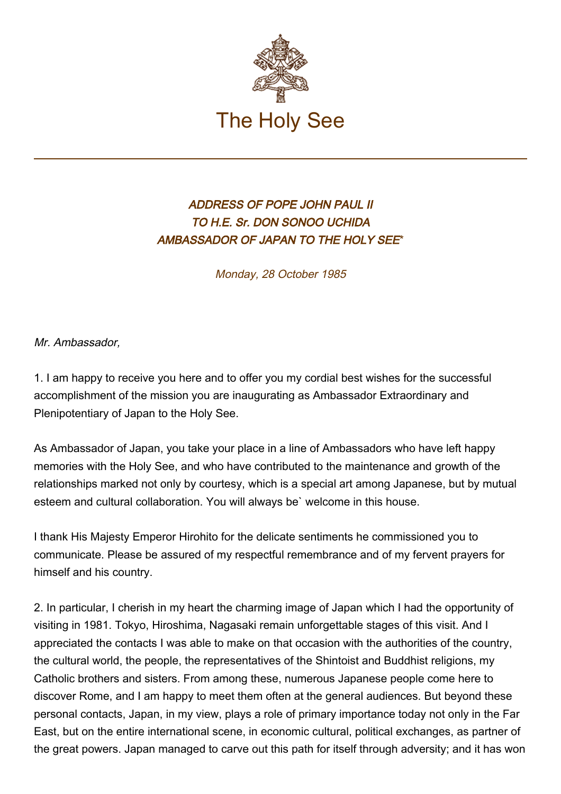

## ADDRESS OF POPE JOHN PAUL II TO H.E. Sr. DON SONOO UCHIDA AMBASSADOR OF JAPAN TO THE HOLY SEE\*

Monday, 28 October 1985

Mr. Ambassador,

1. I am happy to receive you here and to offer you my cordial best wishes for the successful accomplishment of the mission you are inaugurating as Ambassador Extraordinary and Plenipotentiary of Japan to the Holy See.

As Ambassador of Japan, you take your place in a line of Ambassadors who have left happy memories with the Holy See, and who have contributed to the maintenance and growth of the relationships marked not only by courtesy, which is a special art among Japanese, but by mutual esteem and cultural collaboration. You will always be` welcome in this house.

I thank His Majesty Emperor Hirohito for the delicate sentiments he commissioned you to communicate. Please be assured of my respectful remembrance and of my fervent prayers for himself and his country.

2. In particular, I cherish in my heart the charming image of Japan which I had the opportunity of visiting in 1981. Tokyo, Hiroshima, Nagasaki remain unforgettable stages of this visit. And I appreciated the contacts I was able to make on that occasion with the authorities of the country, the cultural world, the people, the representatives of the Shintoist and Buddhist religions, my Catholic brothers and sisters. From among these, numerous Japanese people come here to discover Rome, and I am happy to meet them often at the general audiences. But beyond these personal contacts, Japan, in my view, plays a role of primary importance today not only in the Far East, but on the entire international scene, in economic cultural, political exchanges, as partner of the great powers. Japan managed to carve out this path for itself through adversity; and it has won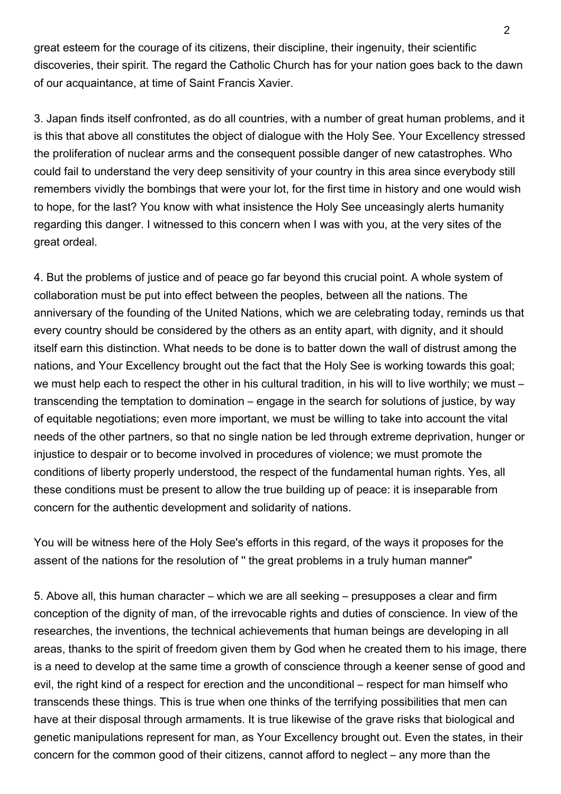great esteem for the courage of its citizens, their discipline, their ingenuity, their scientific discoveries, their spirit. The regard the Catholic Church has for your nation goes back to the dawn of our acquaintance, at time of Saint Francis Xavier.

3. Japan finds itself confronted, as do all countries, with a number of great human problems, and it is this that above all constitutes the object of dialogue with the Holy See. Your Excellency stressed the proliferation of nuclear arms and the consequent possible danger of new catastrophes. Who could fail to understand the very deep sensitivity of your country in this area since everybody still remembers vividly the bombings that were your lot, for the first time in history and one would wish to hope, for the last? You know with what insistence the Holy See unceasingly alerts humanity regarding this danger. I witnessed to this concern when I was with you, at the very sites of the great ordeal.

4. But the problems of justice and of peace go far beyond this crucial point. A whole system of collaboration must be put into effect between the peoples, between all the nations. The anniversary of the founding of the United Nations, which we are celebrating today, reminds us that every country should be considered by the others as an entity apart, with dignity, and it should itself earn this distinction. What needs to be done is to batter down the wall of distrust among the nations, and Your Excellency brought out the fact that the Holy See is working towards this goal; we must help each to respect the other in his cultural tradition, in his will to live worthily; we must – transcending the temptation to domination – engage in the search for solutions of justice, by way of equitable negotiations; even more important, we must be willing to take into account the vital needs of the other partners, so that no single nation be led through extreme deprivation, hunger or injustice to despair or to become involved in procedures of violence; we must promote the conditions of liberty properly understood, the respect of the fundamental human rights. Yes, all these conditions must be present to allow the true building up of peace: it is inseparable from concern for the authentic development and solidarity of nations.

You will be witness here of the Holy See's efforts in this regard, of the ways it proposes for the assent of the nations for the resolution of '' the great problems in a truly human manner"

5. Above all, this human character – which we are all seeking – presupposes a clear and firm conception of the dignity of man, of the irrevocable rights and duties of conscience. In view of the researches, the inventions, the technical achievements that human beings are developing in all areas, thanks to the spirit of freedom given them by God when he created them to his image, there is a need to develop at the same time a growth of conscience through a keener sense of good and evil, the right kind of a respect for erection and the unconditional – respect for man himself who transcends these things. This is true when one thinks of the terrifying possibilities that men can have at their disposal through armaments. It is true likewise of the grave risks that biological and genetic manipulations represent for man, as Your Excellency brought out. Even the states, in their concern for the common good of their citizens, cannot afford to neglect – any more than the